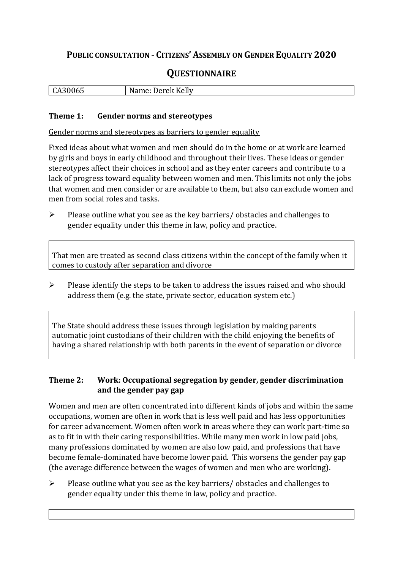## **PUBLIC CONSULTATION - CITIZENS' ASSEMBLY ON GENDER EQUALITY 2020**

# **QUESTIONNAIRE**

| $\overline{C}$ | . ск Kellv    |
|----------------|---------------|
| <b>.</b>       | N             |
| טטי            | $\sim$ $\sim$ |
| ື              | JP I          |
|                |               |

#### **Theme 1: Gender norms and stereotypes**

Gender norms and stereotypes as barriers to gender equality

Fixed ideas about what women and men should do in the home or at work are learned by girls and boys in early childhood and throughout their lives. These ideas or gender stereotypes affect their choices in school and as they enter careers and contribute to a lack of progress toward equality between women and men. This limits not only the jobs that women and men consider or are available to them, but also can exclude women and men from social roles and tasks.

➢ Please outline what you see as the key barriers/ obstacles and challenges to gender equality under this theme in law, policy and practice.

That men are treated as second class citizens within the concept of the family when it comes to custody after separation and divorce

➢ Please identify the steps to be taken to address the issues raised and who should address them (e.g. the state, private sector, education system etc.)

The State should address these issues through legislation by making parents automatic joint custodians of their children with the child enjoying the benefits of having a shared relationship with both parents in the event of separation or divorce

#### **Theme 2: Work: Occupational segregation by gender, gender discrimination and the gender pay gap**

Women and men are often concentrated into different kinds of jobs and within the same occupations, women are often in work that is less well paid and has less opportunities for career advancement. Women often work in areas where they can work part-time so as to fit in with their caring responsibilities. While many men work in low paid jobs, many professions dominated by women are also low paid, and professions that have become female-dominated have become lower paid. This worsens the gender pay gap (the average difference between the wages of women and men who are working).

➢ Please outline what you see as the key barriers/ obstacles and challenges to gender equality under this theme in law, policy and practice.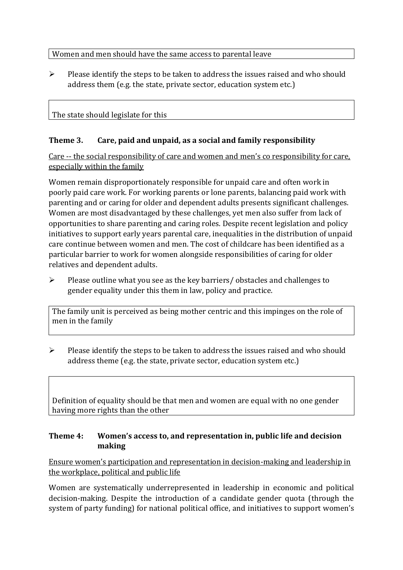### Women and men should have the same access to parental leave

➢ Please identify the steps to be taken to address the issues raised and who should address them (e.g. the state, private sector, education system etc.)

## The state should legislate for this

### **Theme 3. Care, paid and unpaid, as a social and family responsibility**

Care -- the social responsibility of care and women and men's co responsibility for care, especially within the family

Women remain disproportionately responsible for unpaid care and often work in poorly paid care work. For working parents or [lone parents,](https://aran.library.nuigalway.ie/bitstream/handle/10379/6044/Millar_and_Crosse_Activation_Report.pdf?sequence=1&isAllowed=y) balancing paid work with parenting and or caring for older and dependent adults presents significant challenges. Women are [most disadvantaged by these challenges,](https://eige.europa.eu/gender-equality-index/game/IE/W) yet men also suffer from lack of opportunities to share parenting and caring roles. Despite recent legislation and policy initiatives to support early years parental care, [inequalities in the distribution of unpaid](https://www.ihrec.ie/app/uploads/2019/07/Caring-and-Unpaid-Work-in-Ireland_Final.pdf)  [care](https://www.ihrec.ie/app/uploads/2019/07/Caring-and-Unpaid-Work-in-Ireland_Final.pdf) continue between women and men. The cost of childcare has been identified as a particular barrier to work for women alongside responsibilities of caring for older relatives and dependent adults.

➢ Please outline what you see as the key barriers/ obstacles and challenges to gender equality under this them in law, policy and practice.

The family unit is perceived as being mother centric and this impinges on the role of men in the family

➢ Please identify the steps to be taken to address the issues raised and who should address theme (e.g. the state, private sector, education system etc.)

Definition of equality should be that men and women are equal with no one gender having more rights than the other

### **Theme 4: Women's access to, and representation in, public life and decision making**

Ensure women's participation and representation in decision-making and leadership in the workplace, political and public life

Women are systematically underrepresented in leadership in [economic](https://eige.europa.eu/gender-equality-index/2019/compare-countries/power/2/bar) and [political](https://eige.europa.eu/gender-equality-index/2019/compare-countries/power/1/bar)  [decision-](https://eige.europa.eu/gender-equality-index/2019/compare-countries/power/1/bar)making. Despite the introduction of a candidate gender quota (through the system of party funding) for national political office, and [initiatives](https://betterbalance.ie/) to support women's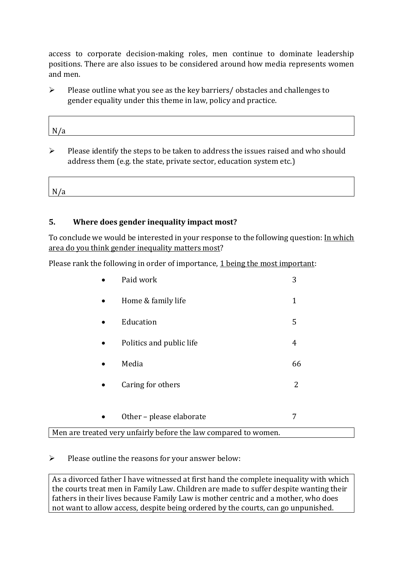access to corporate decision-making roles, men continue to dominate leadership positions. There are also issues to be considered around how media represents women and men.

➢ Please outline what you see as the key barriers/ obstacles and challenges to gender equality under this theme in law, policy and practice.

| N/a |  |  |
|-----|--|--|
|     |  |  |

 $\triangleright$  Please identify the steps to be taken to address the issues raised and who should address them (e.g. the state, private sector, education system etc.)

N/a 

### **5. Where does gender inequality impact most?**

To conclude we would be interested in your response to the following question: In which area do you think gender inequality matters most?

Please rank the following in order of importance, 1 being the most important:

| Home & family life       | $\mathbf 1$    |
|--------------------------|----------------|
| Education                | 5              |
| Politics and public life | $\overline{4}$ |
| Media                    | 66             |
| Caring for others        | 2              |
|                          |                |
|                          |                |

Men are treated very unfairly before the law compared to women.

 $\triangleright$  Please outline the reasons for your answer below:

As a divorced father I have witnessed at first hand the complete inequality with which the courts treat men in Family Law. Children are made to suffer despite wanting their fathers in their lives because Family Law is mother centric and a mother, who does not want to allow access, despite being ordered by the courts, can go unpunished.